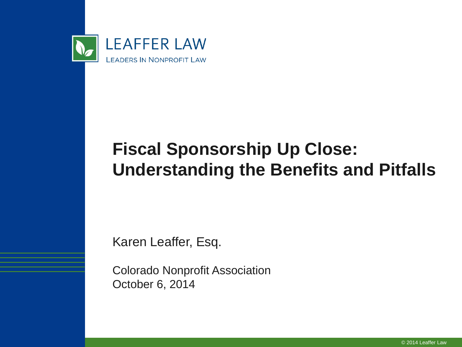

#### **Fiscal Sponsorship Up Close: Understanding the Benefits and Pitfalls**

Karen Leaffer, Esq.

Colorado Nonprofit Association October 6, 2014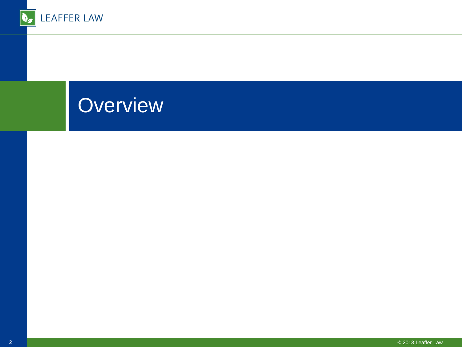

## **Overview**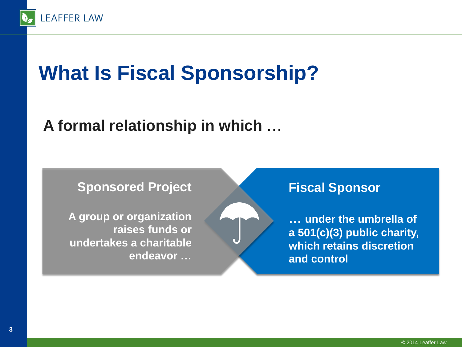

# **What Is Fiscal Sponsorship?**

#### **A formal relationship in which** …



**A group or organization raises funds or undertakes a charitable endeavor …**

#### **Fiscal Sponsor**

**… under the umbrella of a 501(c)(3) public charity, which retains discretion and control**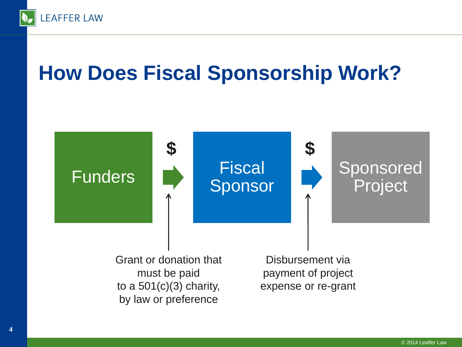

# **How Does Fiscal Sponsorship Work?**



Grant or donation that must be paid to a  $501(c)(3)$  charity, by law or preference

Disbursement via payment of project expense or re-grant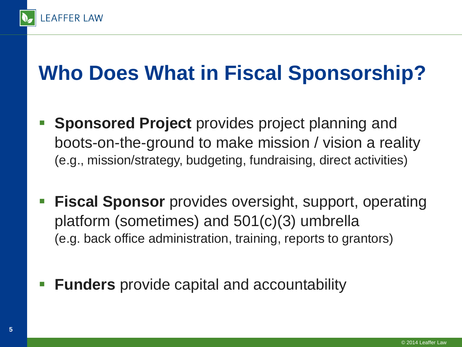

# **Who Does What in Fiscal Sponsorship?**

- **Sponsored Project** provides project planning and boots-on-the-ground to make mission / vision a reality (e.g., mission/strategy, budgeting, fundraising, direct activities)
- **Fiscal Sponsor** provides oversight, support, operating platform (sometimes) and 501(c)(3) umbrella (e.g. back office administration, training, reports to grantors)
- **Funders** provide capital and accountability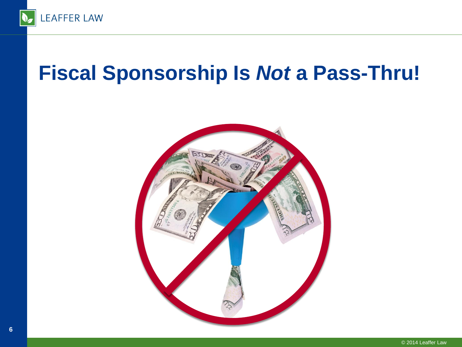

### **Fiscal Sponsorship Is** *Not* **a Pass-Thru!**

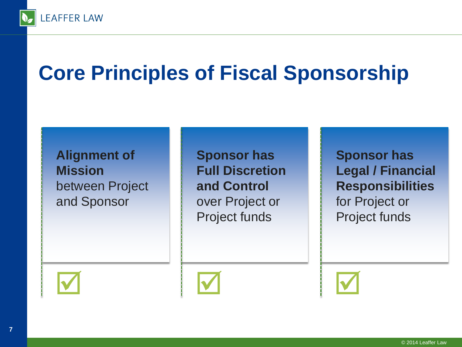

# **Core Principles of Fiscal Sponsorship**

**Alignment of Mission** between Project and Sponsor

**Sponsor has Full Discretion and Control**  over Project or Project funds

**Sponsor has Legal / Financial Responsibilities**  for Project or Project funds





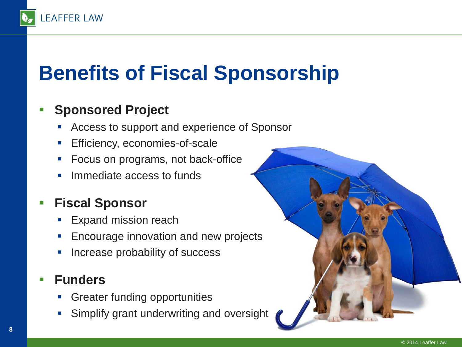# **Benefits of Fiscal Sponsorship**

#### **Sponsored Project**

**LEAFFER LAW** 

- Access to support and experience of Sponsor
- **Efficiency, economies-of-scale**
- **Focus on programs, not back-office**
- **Immediate access to funds**

#### **Fiscal Sponsor**

- Expand mission reach
- **Encourage innovation and new projects**
- **Increase probability of success**

#### **Funders**

- Greater funding opportunities
- Simplify grant underwriting and oversight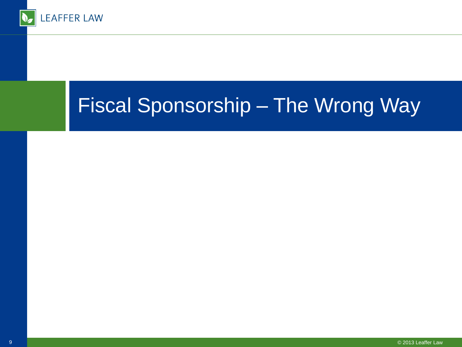

## Fiscal Sponsorship – The Wrong Way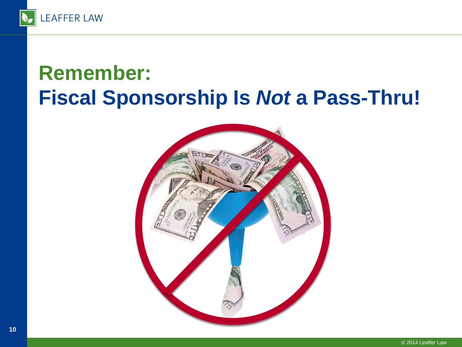

## **Remember: Fiscal Sponsorship Is** *Not* **a Pass-Thru!**

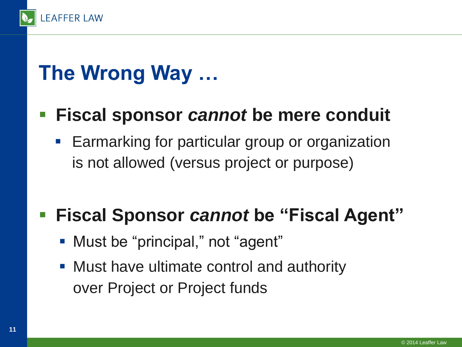

# **The Wrong Way …**

#### **Fiscal sponsor** *cannot* **be mere conduit**

**Earmarking for particular group or organization** is not allowed (versus project or purpose)

#### **Fiscal Sponsor** *cannot* **be "Fiscal Agent"**

- **Must be "principal," not "agent"**
- Must have ultimate control and authority over Project or Project funds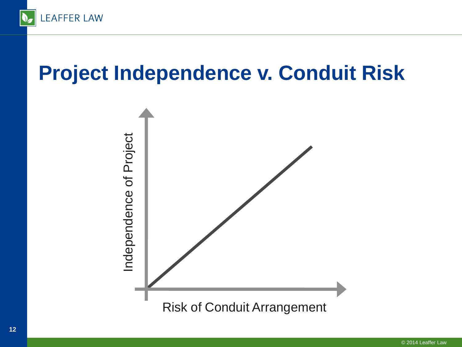

## **Project Independence v. Conduit Risk**

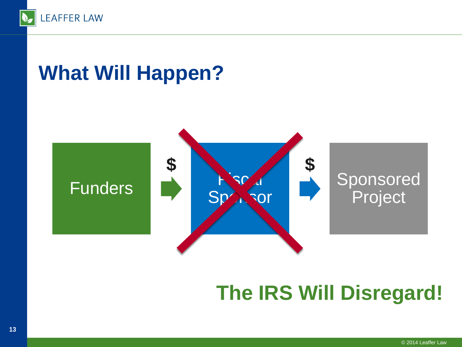

### **What Will Happen?**



## **The IRS Will Disregard!**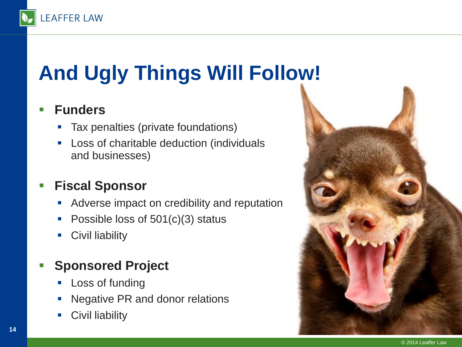

# **And Ugly Things Will Follow!**

#### **Funders**

- Tax penalties (private foundations)
- **-** Loss of charitable deduction (individuals and businesses)

#### **Fiscal Sponsor**

- Adverse impact on credibility and reputation
- Possible loss of  $501(c)(3)$  status
- **Civil liability**

#### **Sponsored Project**

- Loss of funding
- **Negative PR and donor relations**
- **Civil liability**

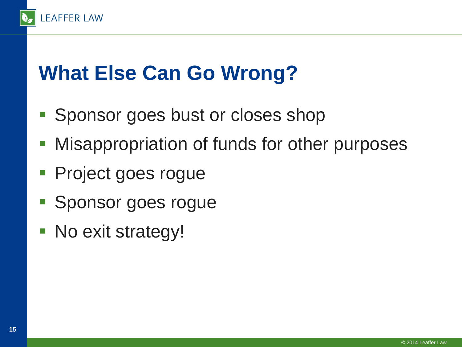

# **What Else Can Go Wrong?**

- Sponsor goes bust or closes shop
- **Misappropriation of funds for other purposes**
- **Project goes rogue**
- **Sponsor goes rogue**
- No exit strategy!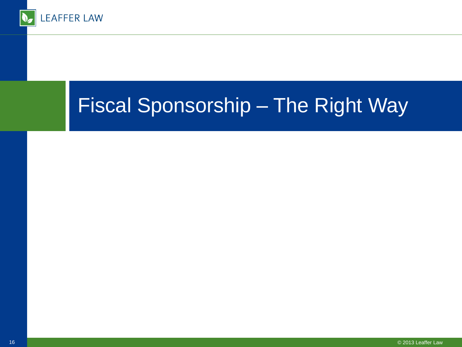

## Fiscal Sponsorship – The Right Way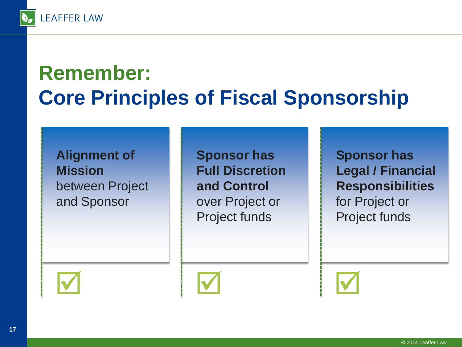

# **Remember: Core Principles of Fiscal Sponsorship**

**Alignment of Mission** between Project and Sponsor

**Sponsor has Full Discretion and Control**  over Project or Project funds

**Sponsor has Legal / Financial Responsibilities**  for Project or Project funds





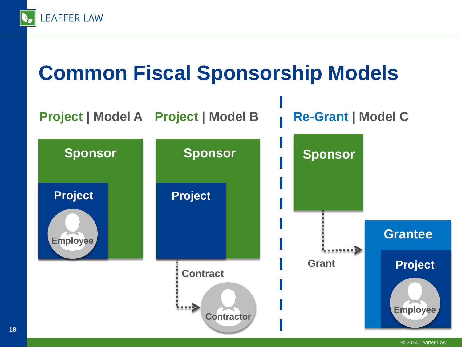

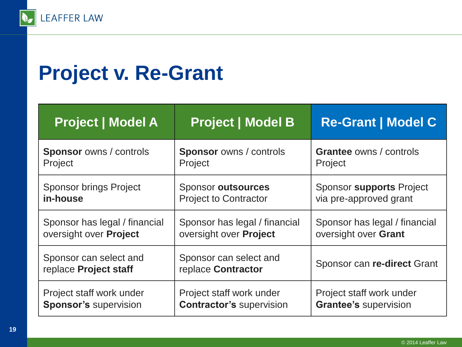

## **Project v. Re-Grant**

| <b>Project   Model A</b>                        | <b>Project   Model B</b>                     | <b>Re-Grant   Model C</b>      |
|-------------------------------------------------|----------------------------------------------|--------------------------------|
| <b>Sponsor</b> owns / controls                  | <b>Sponsor</b> owns / controls               | <b>Grantee owns / controls</b> |
| Project                                         | Project                                      | Project                        |
| <b>Sponsor brings Project</b>                   | <b>Sponsor outsources</b>                    | Sponsor supports Project       |
| in-house                                        | <b>Project to Contractor</b>                 | via pre-approved grant         |
| Sponsor has legal / financial                   | Sponsor has legal / financial                | Sponsor has legal / financial  |
| oversight over Project                          | oversight over <b>Project</b>                | oversight over Grant           |
| Sponsor can select and<br>replace Project staff | Sponsor can select and<br>replace Contractor | Sponsor can re-direct Grant    |
| Project staff work under                        | Project staff work under                     | Project staff work under       |
| <b>Sponsor's supervision</b>                    | <b>Contractor's supervision</b>              | <b>Grantee's supervision</b>   |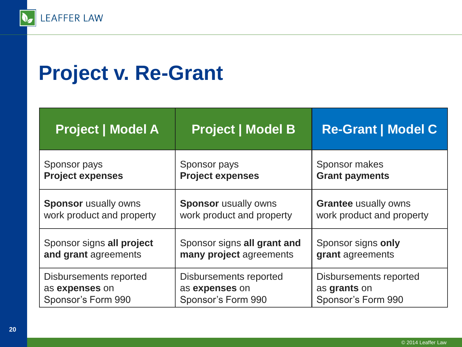

## **Project v. Re-Grant**

| <b>Project   Model A</b>    | <b>Project   Model B</b>    | <b>Re-Grant   Model C</b>   |
|-----------------------------|-----------------------------|-----------------------------|
| Sponsor pays                | Sponsor pays                | Sponsor makes               |
| <b>Project expenses</b>     | <b>Project expenses</b>     | <b>Grant payments</b>       |
| <b>Sponsor</b> usually owns | <b>Sponsor</b> usually owns | <b>Grantee usually owns</b> |
| work product and property   | work product and property   | work product and property   |
| Sponsor signs all project   | Sponsor signs all grant and | Sponsor signs only          |
| and grant agreements        | many project agreements     | grant agreements            |
| Disbursements reported      | Disbursements reported      | Disbursements reported      |
| as expenses on              | as expenses on              | as grants on                |
| Sponsor's Form 990          | Sponsor's Form 990          | Sponsor's Form 990          |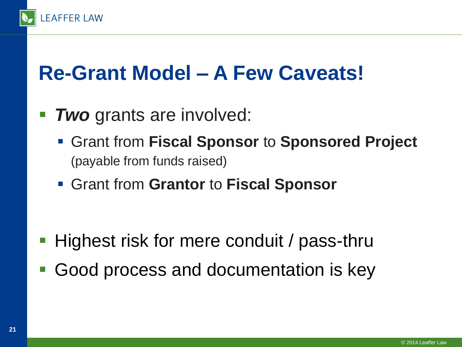

## **Re-Grant Model – A Few Caveats!**

- **Two** grants are involved:
	- Grant from **Fiscal Sponsor** to **Sponsored Project** (payable from funds raised)
	- Grant from **Grantor** to **Fiscal Sponsor**

- Highest risk for mere conduit / pass-thru
- Good process and documentation is key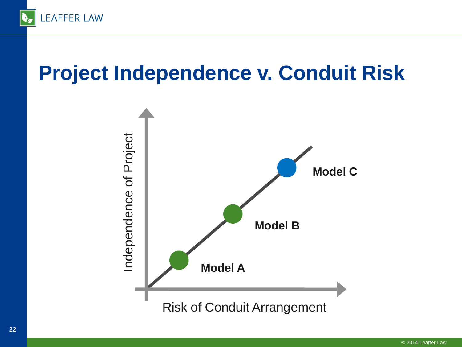

## **Project Independence v. Conduit Risk**

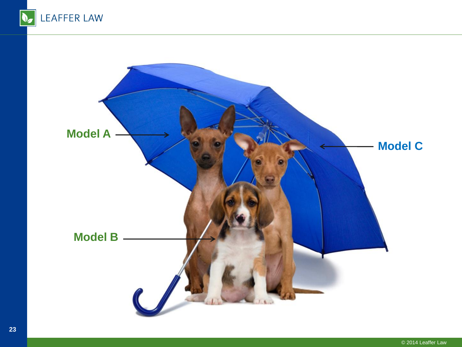

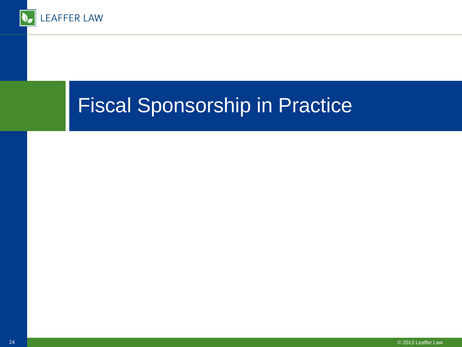

#### Fiscal Sponsorship in Practice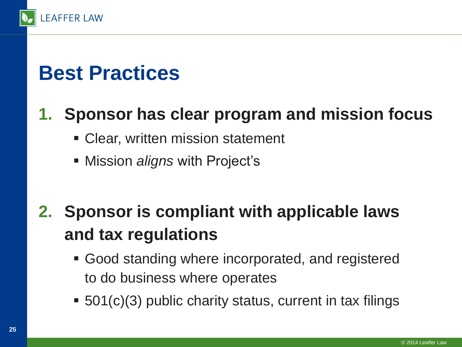

#### **1. Sponsor has clear program and mission focus**

- Clear, written mission statement
- Mission *aligns* with Project's

#### **2. Sponsor is compliant with applicable laws and tax regulations**

- Good standing where incorporated, and registered to do business where operates
- 501(c)(3) public charity status, current in tax filings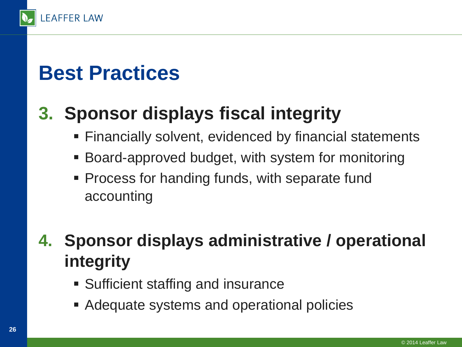

#### **3. Sponsor displays fiscal integrity**

- Financially solvent, evidenced by financial statements
- Board-approved budget, with system for monitoring
- **Process for handing funds, with separate fund** accounting

#### **4. Sponsor displays administrative / operational integrity**

- **Sufficient staffing and insurance**
- Adequate systems and operational policies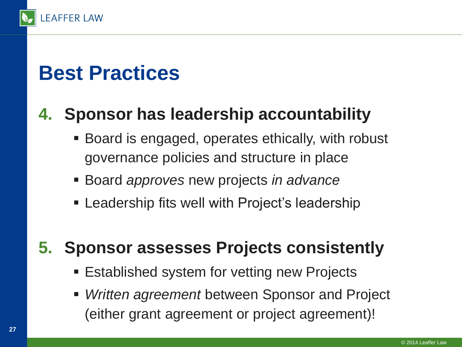

#### **4. Sponsor has leadership accountability**

- Board is engaged, operates ethically, with robust governance policies and structure in place
- Board *approves* new projects *in advance*
- **Examble 1** Leadership fits well with Project's leadership

#### **5. Sponsor assesses Projects consistently**

- **Established system for vetting new Projects**
- *Written agreement* between Sponsor and Project (either grant agreement or project agreement)!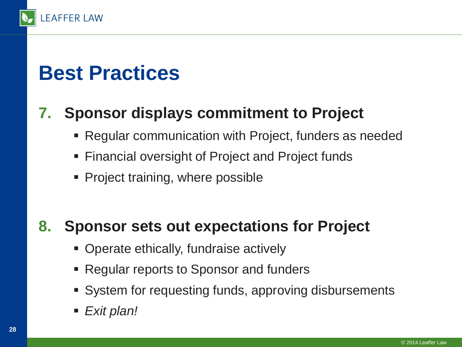

#### **7. Sponsor displays commitment to Project**

- Regular communication with Project, funders as needed
- Financial oversight of Project and Project funds
- **Project training, where possible**

#### **8. Sponsor sets out expectations for Project**

- **Operate ethically, fundraise actively**
- Regular reports to Sponsor and funders
- System for requesting funds, approving disbursements
- *Exit plan!*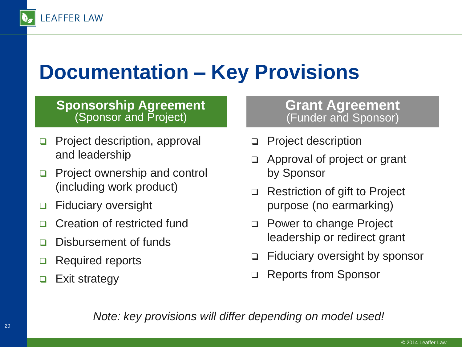

## **Documentation – Key Provisions**

#### **Sponsorship Agreement** (Sponsor and Project)

- □ Project description, approval and leadership
- **Project ownership and control** (including work product)
- □ Fiduciary oversight
- □ Creation of restricted fund
- Disbursement of funds
- □ Required reports
- $\Box$  Exit strategy

#### **Grant Agreement** (Funder and Sponsor)

- Project description
- Approval of project or grant by Sponsor
- □ Restriction of gift to Project purpose (no earmarking)
- □ Power to change Project leadership or redirect grant
- Fiduciary oversight by sponsor
- Reports from Sponsor

*Note: key provisions will differ depending on model used!*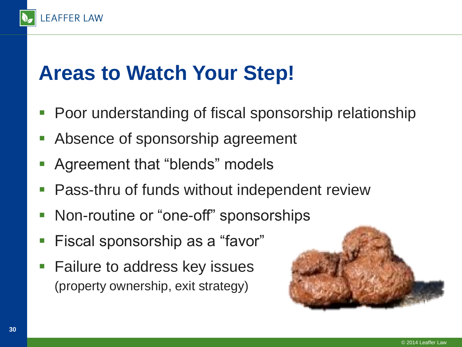## **Areas to Watch Your Step!**

**LEAFFER LAW** 

- Poor understanding of fiscal sponsorship relationship
- Absence of sponsorship agreement
- Agreement that "blends" models
- Pass-thru of funds without independent review
- Non-routine or "one-off" sponsorships
- Fiscal sponsorship as a "favor"
- Failure to address key issues (property ownership, exit strategy)

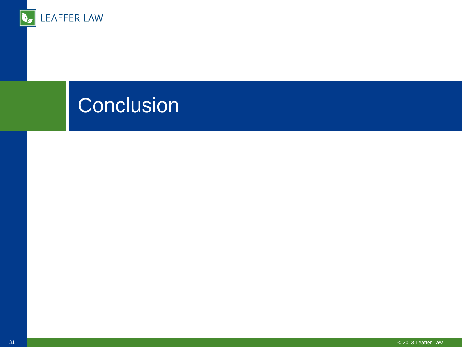

## **Conclusion**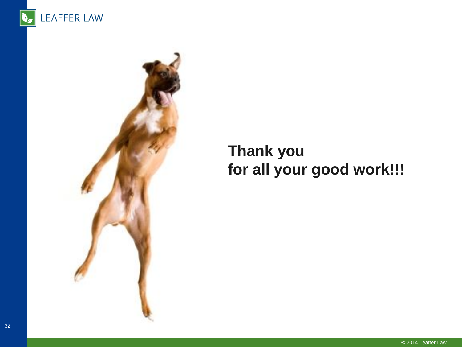



#### **Thank you for all your good work!!!**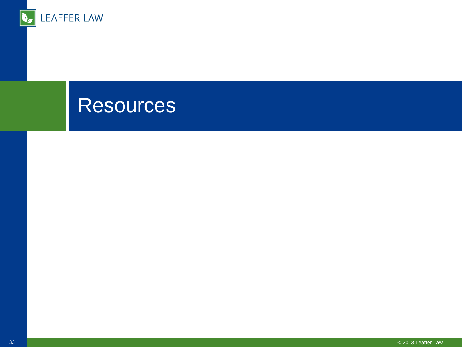

#### **Resources**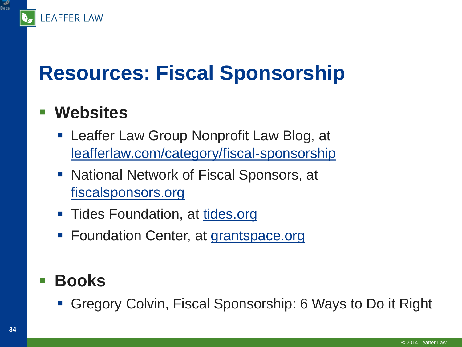

# **Resources: Fiscal Sponsorship**

#### **Websites**

- **Example 2 Leaffer Law Group Nonprofit Law Blog, at** [leafferlaw.com/category/fiscal-sponsorship](http://leafferlaw.com/category/fiscal-sponsorship/)
- **National Network of Fiscal Sponsors, at** [fiscalsponsors.org](http://fiscalsponsors.org/)
- Tides Foundation, at [tides.org](http://www.tides.org/?id=212)
- Foundation Center, at [grantspace.org](http://www.grantspace.org/Tools/Knowledge-Base/Funding-Research/Definitions-and-Clarification/Fiscal-sponsorship)

#### **Books**

Gregory Colvin, Fiscal Sponsorship: 6 Ways to Do it Right